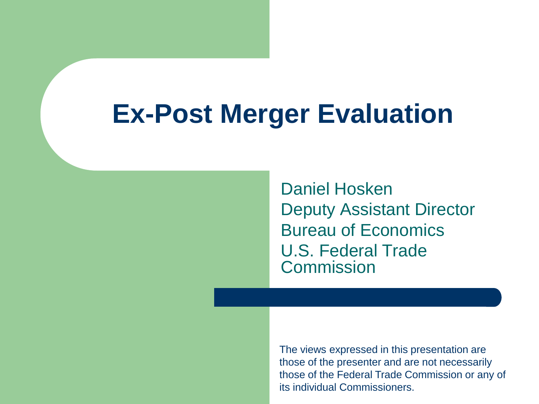#### **Ex-Post Merger Evaluation**

Daniel Hosken Deputy Assistant Director Bureau of Economics U.S. Federal Trade **Commission** 

The views expressed in this presentation are those of the presenter and are not necessarily those of the Federal Trade Commission or any of its individual Commissioners.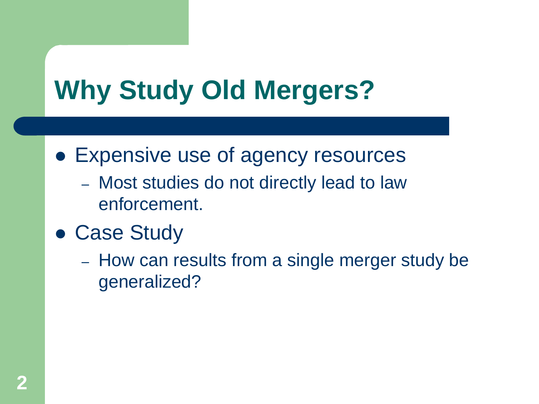# **Why Study Old Mergers?**

- Expensive use of agency resources
	- Most studies do not directly lead to law enforcement.
- Case Study
	- How can results from a single merger study be generalized?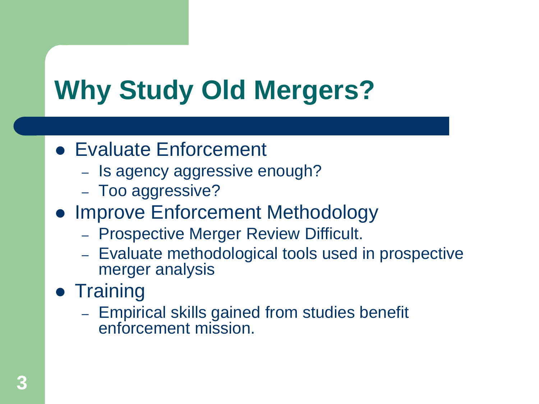# **Why Study Old Mergers?**

- Evaluate Enforcement
	- Is agency aggressive enough?
	- Too aggressive?
- Improve Enforcement Methodology
	- Prospective Merger Review Difficult.
	- Evaluate methodological tools used in prospective merger analysis
- Training
	- Empirical skills gained from studies benefit enforcement mission.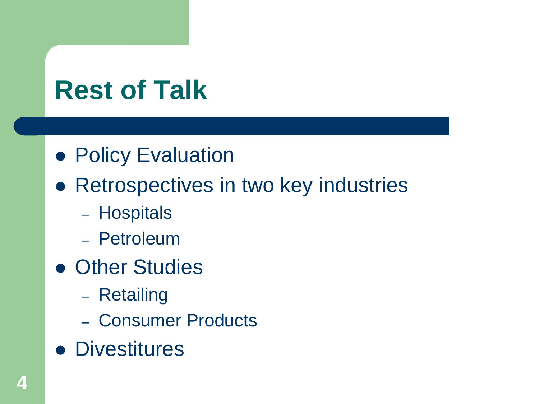# **Rest of Talk**

- **Policy Evaluation**
- **Retrospectives in two key industries** 
	- Hospitals
	- Petroleum
- **Other Studies** 
	- Retailing
	- Consumer Products
- **Divestitures**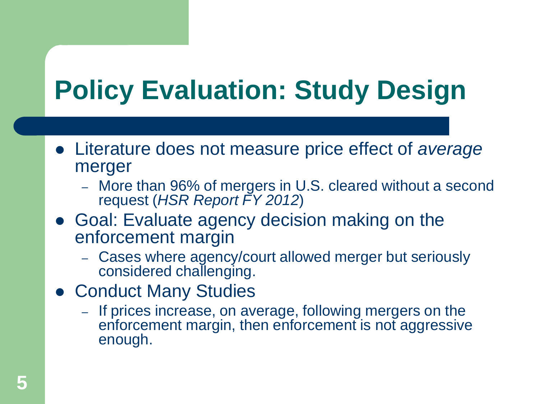# **Policy Evaluation: Study Design**

- Literature does not measure price effect of *average* merger
	- More than 96% of mergers in U.S. cleared without a second request (*HSR Report FY 2012*)
- Goal: Evaluate agency decision making on the enforcement margin
	- Cases where agency/court allowed merger but seriously considered challenging.
- Conduct Many Studies
	- If prices increase, on average, following mergers on the enforcement margin, then enforcement is not aggressive enough.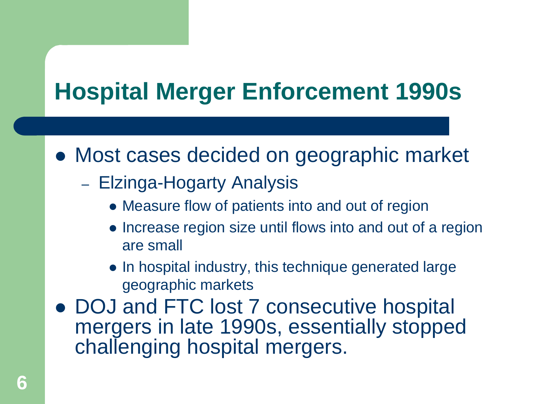#### **Hospital Merger Enforcement 1990s**

• Most cases decided on geographic market

- Elzinga-Hogarty Analysis
	- Measure flow of patients into and out of region
	- Increase region size until flows into and out of a region are small
	- In hospital industry, this technique generated large geographic markets
- DOJ and FTC lost 7 consecutive hospital mergers in late 1990s, essentially stopped challenging hospital mergers.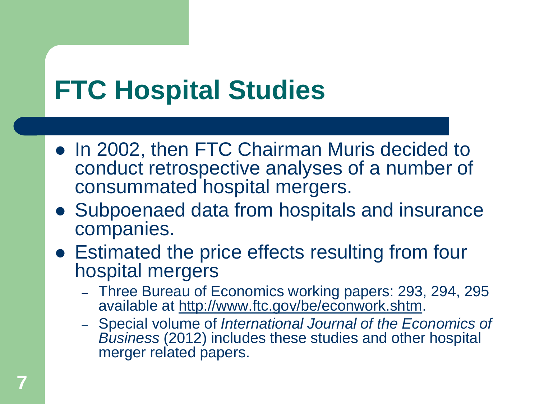# **FTC Hospital Studies**

- In 2002, then FTC Chairman Muris decided to conduct retrospective analyses of a number of consummated hospital mergers.
- Subpoenaed data from hospitals and insurance companies.
- Estimated the price effects resulting from four hospital mergers
	- Three Bureau of Economics working papers: 293, 294, 295 available at <http://www.ftc.gov/be/econwork.shtm>.
	- Special volume of *International Journal of the Economics of Business* (2012) includes these studies and other hospital merger related papers.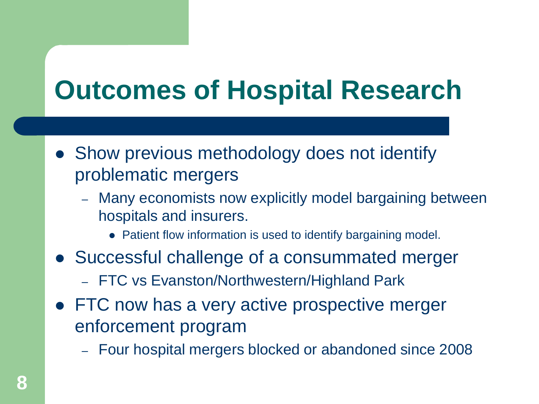# **Outcomes of Hospital Research**

- Show previous methodology does not identify problematic mergers
	- Many economists now explicitly model bargaining between hospitals and insurers.
		- Patient flow information is used to identify bargaining model.
- Successful challenge of a consummated merger
	- FTC vs Evanston/Northwestern/Highland Park
- FTC now has a very active prospective merger enforcement program
	- Four hospital mergers blocked or abandoned since 2008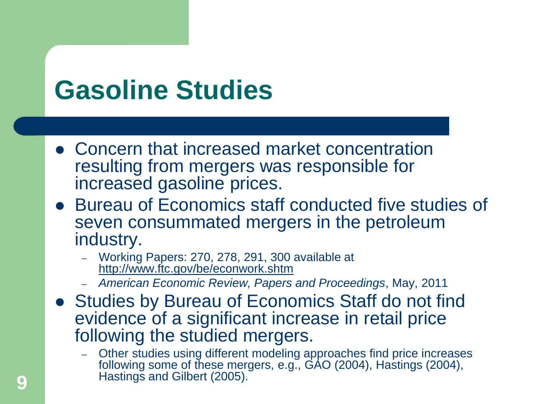### **Gasoline Studies**

- Concern that increased market concentration resulting from mergers was responsible for increased gasoline prices.
- Bureau of Economics staff conducted five studies of seven consummated mergers in the petroleum industry.
	- Working Papers: 270, 278, 291, 300 available at <http://www.ftc.gov/be/econwork.shtm>
	- *American Economic Review, Papers and Proceedings*, May, 2011
- Studies by Bureau of Economics Staff do not find evidence of a significant increase in retail price following the studied mergers.
	- Other studies using different modeling approaches find price increases following some of these mergers, e.g., GAO (2004), Hastings (2004), Hastings and Gilbert (2005).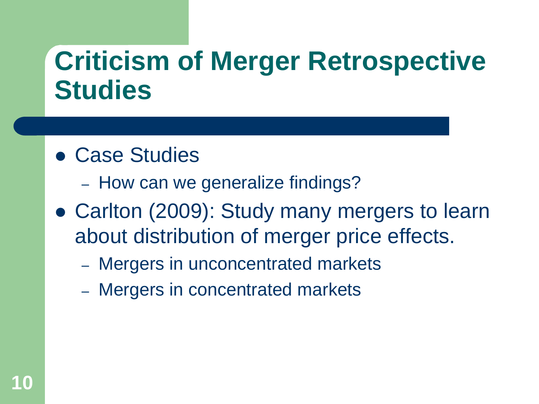### **Criticism of Merger Retrospective Studies**

#### Case Studies

- How can we generalize findings?
- Carlton (2009): Study many mergers to learn about distribution of merger price effects.
	- Mergers in unconcentrated markets
	- Mergers in concentrated markets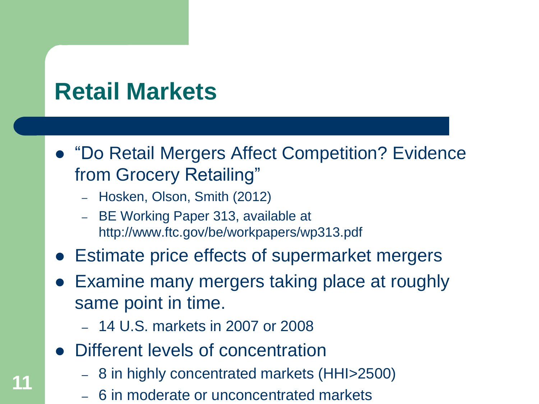#### **Retail Markets**

**11**

- "Do Retail Mergers Affect Competition? Evidence from Grocery Retailing"
	- Hosken, Olson, Smith (2012)
	- BE Working Paper 313, available at http://www.ftc.gov/be/workpapers/wp313.pdf
- Estimate price effects of supermarket mergers
- Examine many mergers taking place at roughly same point in time.
	- 14 U.S. markets in 2007 or 2008
- Different levels of concentration
	- 8 in highly concentrated markets (HHI>2500)
	- 6 in moderate or unconcentrated markets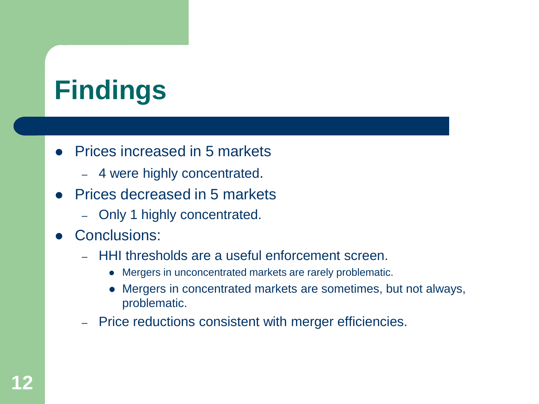# **Findings**

- Prices increased in 5 markets
	- 4 were highly concentrated.
- Prices decreased in 5 markets
	- Only 1 highly concentrated.
- Conclusions:
	- HHI thresholds are a useful enforcement screen.
		- Mergers in unconcentrated markets are rarely problematic.
		- Mergers in concentrated markets are sometimes, but not always, problematic.
	- Price reductions consistent with merger efficiencies.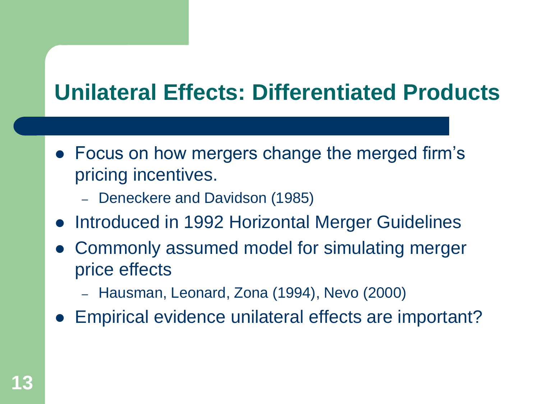#### **Unilateral Effects: Differentiated Products**

- Focus on how mergers change the merged firm's pricing incentives.
	- Deneckere and Davidson (1985)
- Introduced in 1992 Horizontal Merger Guidelines
- Commonly assumed model for simulating merger price effects
	- Hausman, Leonard, Zona (1994), Nevo (2000)
- Empirical evidence unilateral effects are important?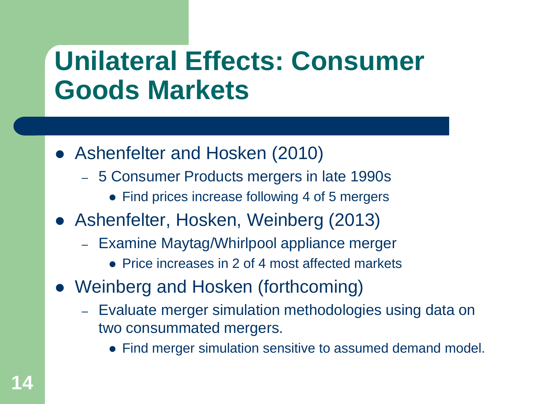### **Unilateral Effects: Consumer Goods Markets**

- Ashenfelter and Hosken (2010)
	- 5 Consumer Products mergers in late 1990s
		- Find prices increase following 4 of 5 mergers
- Ashenfelter, Hosken, Weinberg (2013)
	- Examine Maytag/Whirlpool appliance merger
		- Price increases in 2 of 4 most affected markets
- Weinberg and Hosken (forthcoming)
	- Evaluate merger simulation methodologies using data on two consummated mergers.
		- Find merger simulation sensitive to assumed demand model.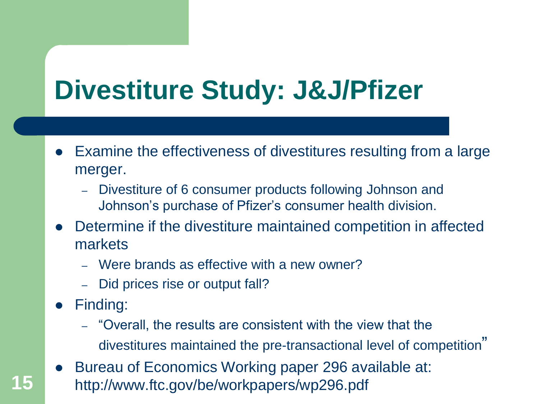### **Divestiture Study: J&J/Pfizer**

- Examine the effectiveness of divestitures resulting from a large merger.
	- Divestiture of 6 consumer products following Johnson and Johnson's purchase of Pfizer's consumer health division.
- Determine if the divestiture maintained competition in affected markets
	- Were brands as effective with a new owner?
	- Did prices rise or output fall?
- Finding:
	- "Overall, the results are consistent with the view that the divestitures maintained the pre-transactional level of competition"
- Bureau of Economics Working paper 296 available at: **15** http://www.ftc.gov/be/workpapers/wp296.pdf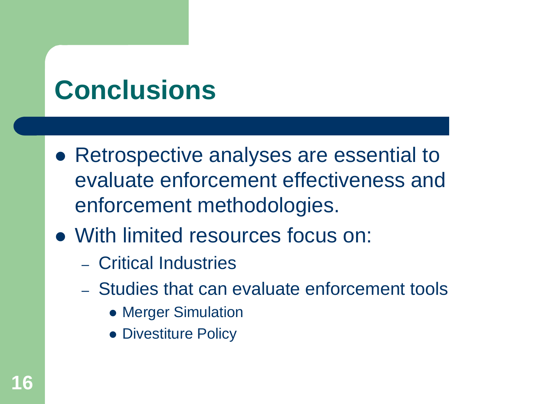### **Conclusions**

- Retrospective analyses are essential to evaluate enforcement effectiveness and enforcement methodologies.
- With limited resources focus on:
	- Critical Industries
	- Studies that can evaluate enforcement tools
		- Merger Simulation
		- Divestiture Policy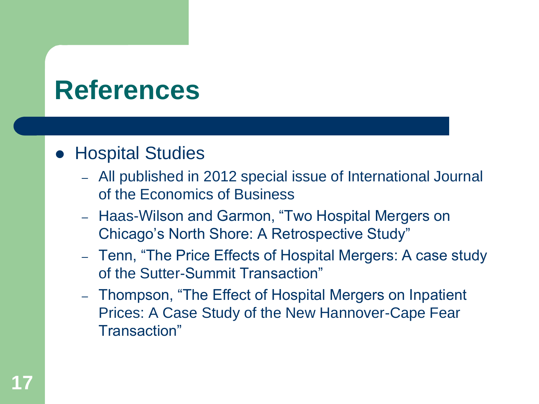#### **• Hospital Studies**

- All published in 2012 special issue of International Journal of the Economics of Business
- Haas-Wilson and Garmon, "Two Hospital Mergers on Chicago's North Shore: A Retrospective Study"
- Tenn, "The Price Effects of Hospital Mergers: A case study of the Sutter-Summit Transaction"
- Thompson, "The Effect of Hospital Mergers on Inpatient Prices: A Case Study of the New Hannover-Cape Fear Transaction"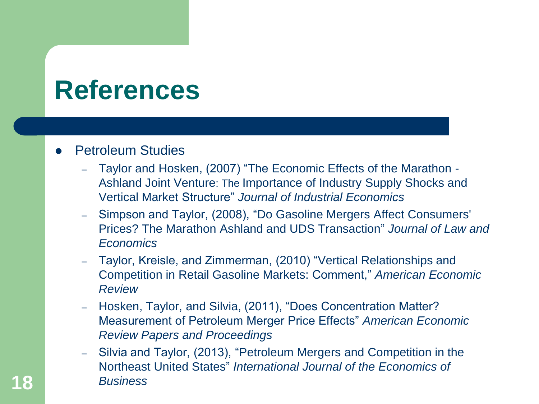#### Petroleum Studies

- Taylor and Hosken, (2007) "The Economic Effects of the Marathon Ashland Joint Venture: The Importance of Industry Supply Shocks and Vertical Market Structure" *Journal of Industrial Economics*
- Simpson and Taylor, (2008), "Do Gasoline Mergers Affect Consumers' Prices? The Marathon Ashland and UDS Transaction" *Journal of Law and Economics*
- Taylor, Kreisle, and Zimmerman, (2010) "Vertical Relationships and Competition in Retail Gasoline Markets: Comment," *American Economic Review*
- Hosken, Taylor, and Silvia, (2011), "Does Concentration Matter? Measurement of Petroleum Merger Price Effects" *American Economic Review Papers and Proceedings*
- Silvia and Taylor, (2013), "Petroleum Mergers and Competition in the Northeast United States" *International Journal of the Economics of*  **18** *Business*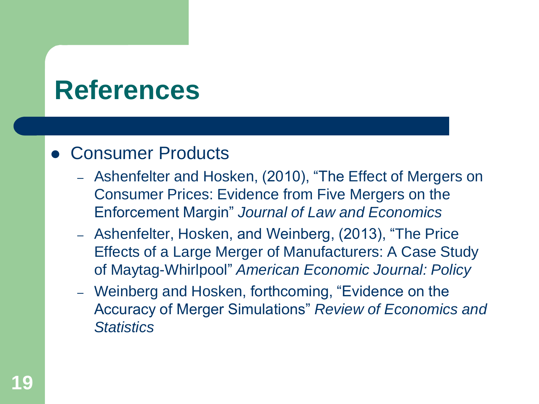#### Consumer Products

- Ashenfelter and Hosken, (2010), "The Effect of Mergers on Consumer Prices: Evidence from Five Mergers on the Enforcement Margin" *Journal of Law and Economics*
- Ashenfelter, Hosken, and Weinberg, (2013), "The Price Effects of a Large Merger of Manufacturers: A Case Study of Maytag-Whirlpool" *American Economic Journal: Policy*
- Weinberg and Hosken, forthcoming, "Evidence on the Accuracy of Merger Simulations" *Review of Economics and Statistics*